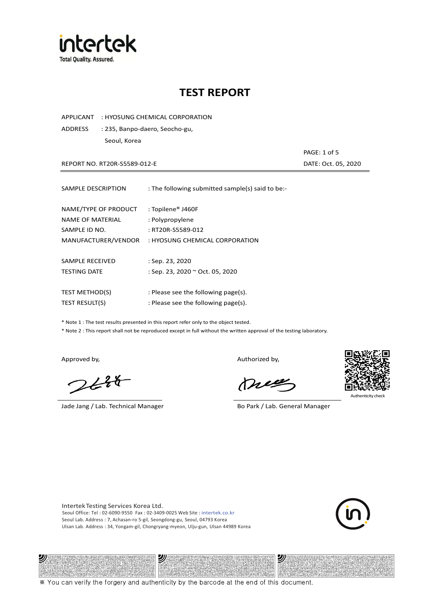

APPLICANT : HYOSUNG CHEMICAL CORPORATION

ADDRESS : 235, Banpo-daero, Seocho-gu, Seoul, Korea

REPORT NO. RT20R-S5589-012-E DATE: Oct. 05, 2020

PAGE: 1 of 5

| SAMPLE DESCRIPTION                                        | : The following submitted sample(s) said to be:-          |
|-----------------------------------------------------------|-----------------------------------------------------------|
| NAME/TYPE OF PRODUCT<br>NAME OF MATERIAL<br>SAMPLE ID NO. | : Topilene® J460F<br>: Polypropylene<br>: RT20R-S5589-012 |
| MANUFACTURER/VENDOR                                       | : HYOSUNG CHEMICAL CORPORATION                            |
| SAMPLE RECEIVED<br><b>TESTING DATE</b>                    | : Sep. 23, 2020<br>: Sep. 23, 2020 ~ Oct. 05, 2020        |
| <b>TEST METHOD(S)</b>                                     | : Please see the following page(s).                       |
| <b>TEST RESULT(S)</b>                                     | : Please see the following page(s).                       |

\* Note 1 : The test results presented in this report refer only to the object tested.

\* Note 2 : This report shall not be reproduced except in full without the written approval of the testing laboratory.

沙

 $2648$ 

Jade Jang / Lab. Technical Manager Bo Park / Lab. General Manager

Approved by, and the control of the control of the Authorized by,

Mie



沙

Intertek Testing Services Korea Ltd. Seoul Office: Tel : 02-6090-9550 Fax : 02-3409-0025 Web Site : intertek.co.kr Seoul Lab. Address : 7, Achasan-ro 5-gil, Seongdong-gu, Seoul, 04793 Korea Ulsan Lab. Address : 34, Yongam-gil, Chongryang-myeon, Ulju-gun, Ulsan 44989 Korea

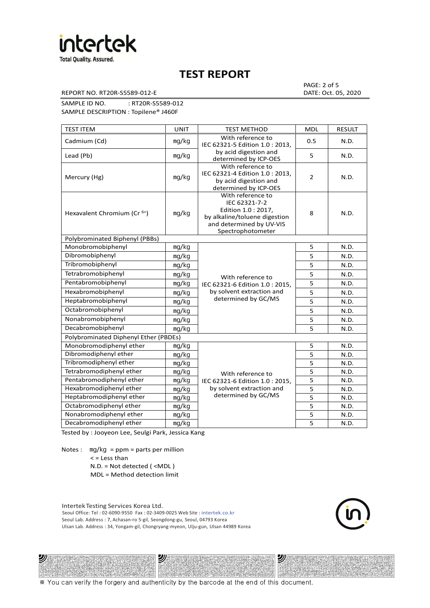

REPORT NO. RT20R-S5589-012-E DATE: Oct. 05, 2020

PAGE: 2 of 5

SAMPLE ID NO. : RT20R-S5589-012 SAMPLE DESCRIPTION : Topilene® J460F

| <b>TEST ITEM</b>                        | <b>UNIT</b> | <b>TEST METHOD</b>                                                                                                                         | <b>MDL</b>     | <b>RESULT</b> |
|-----------------------------------------|-------------|--------------------------------------------------------------------------------------------------------------------------------------------|----------------|---------------|
| Cadmium (Cd)                            | mg/kg       | With reference to<br>IEC 62321-5 Edition 1.0: 2013.                                                                                        | 0.5            | N.D.          |
| Lead (Pb)                               | mq/kg       | by acid digestion and<br>determined by ICP-OES                                                                                             | 5              | N.D.          |
| Mercury (Hg)                            | mg/kg       | With reference to<br>IEC 62321-4 Edition 1.0 : 2013,<br>by acid digestion and<br>determined by ICP-OES                                     | $\overline{2}$ | N.D.          |
| Hexavalent Chromium (Cr <sup>6+</sup> ) | mq/kg       | With reference to<br>IEC 62321-7-2<br>Edition 1.0: 2017,<br>by alkaline/toluene digestion<br>and determined by UV-VIS<br>Spectrophotometer | 8              | N.D.          |
| Polybrominated Biphenyl (PBBs)          |             |                                                                                                                                            |                |               |
| Monobromobiphenyl                       | mg/kg       |                                                                                                                                            | 5              | N.D.          |
| Dibromobiphenyl                         | mg/kg       |                                                                                                                                            | 5              | N.D.          |
| Tribromobiphenyl                        | mg/kg       |                                                                                                                                            | 5              | N.D.          |
| Tetrabromobiphenyl                      | mg/kg       | With reference to                                                                                                                          | $\overline{5}$ | N.D.          |
| Pentabromobiphenyl                      | mg/kg       | IEC 62321-6 Edition 1.0: 2015,                                                                                                             | 5              | N.D.          |
| Hexabromobiphenyl                       | mg/kg       | by solvent extraction and                                                                                                                  | 5              | N.D.          |
| Heptabromobiphenyl                      | mg/kg       | determined by GC/MS                                                                                                                        | 5              | N.D.          |
| Octabromobiphenyl                       | mg/kg       |                                                                                                                                            | 5              | N.D.          |
| Nonabromobiphenyl                       | mg/kg       |                                                                                                                                            | $\overline{5}$ | N.D.          |
| Decabromobiphenyl                       | mg/kg       |                                                                                                                                            | 5              | N.D.          |
| Polybrominated Diphenyl Ether (PBDEs)   |             |                                                                                                                                            |                |               |
| Monobromodiphenyl ether                 | mg/kg       |                                                                                                                                            | 5              | N.D.          |
| Dibromodiphenyl ether                   | mg/kg       |                                                                                                                                            | 5              | N.D.          |
| Tribromodiphenyl ether                  | mg/kg       |                                                                                                                                            | 5              | N.D.          |
| Tetrabromodiphenyl ether                | mg/kg       | With reference to                                                                                                                          | 5              | N.D.          |
| Pentabromodiphenyl ether                | mg/kg       | IEC 62321-6 Edition 1.0 : 2015,                                                                                                            | 5              | N.D.          |
| Hexabromodiphenyl ether                 | mg/kg       | by solvent extraction and                                                                                                                  | 5              | N.D.          |
| Heptabromodiphenyl ether                | mg/kg       | determined by GC/MS                                                                                                                        | 5              | N.D.          |
| Octabromodiphenyl ether                 | mg/kg       |                                                                                                                                            | 5              | N.D.          |
| Nonabromodiphenyl ether                 | mg/kg       | 5                                                                                                                                          |                | N.D.          |
| Decabromodiphenyl ether                 | mg/kg       |                                                                                                                                            | 5              | N.D.          |

Tested by : Jooyeon Lee, Seulgi Park, Jessica Kang

Notes : mg/kg = ppm = parts per million  $<$  = Less than

沙

N.D. = Not detected ( <MDL )

MDL = Method detection limit

Intertek Testing Services Korea Ltd. Seoul Office: Tel : 02-6090-9550 Fax : 02-3409-0025 Web Site : intertek.co.kr Seoul Lab. Address : 7, Achasan-ro 5-gil, Seongdong-gu, Seoul, 04793 Korea Ulsan Lab. Address : 34, Yongam-gil, Chongryang-myeon, Ulju-gun, Ulsan 44989 Korea

沙



沙

※ You can verify the forgery and authenticity by the barcode at the end of this document.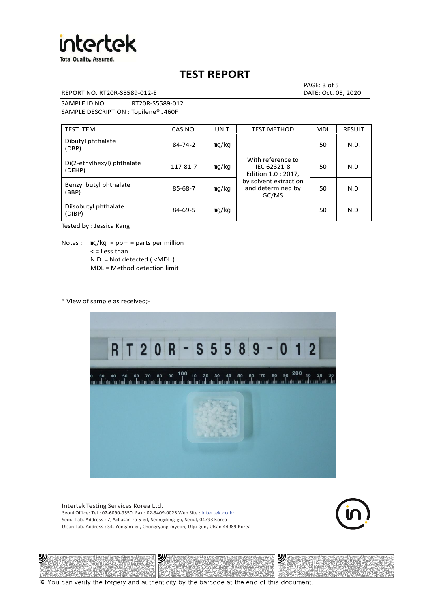

REPORT NO. RT20R-S5589-012-E DATE: Oct. 05, 2020

PAGE: 3 of 5

SAMPLE ID NO. : RT20R-S5589-012 SAMPLE DESCRIPTION : Topilene® J460F

| <b>TEST ITEM</b>                     | CAS NO.       | <b>UNIT</b> | <b>TEST METHOD</b>                                      | <b>MDL</b> | <b>RESULT</b> |
|--------------------------------------|---------------|-------------|---------------------------------------------------------|------------|---------------|
| Dibutyl phthalate<br>(DBP)           | $84 - 74 - 2$ | mg/kg       | With reference to<br>IEC 62321-8<br>Edition 1.0 : 2017, | 50         | N.D.          |
| Di(2-ethylhexyl) phthalate<br>(DEHP) | 117-81-7      | mg/kg       |                                                         | 50         | N.D.          |
| Benzyl butyl phthalate<br>(BBP)      | 85-68-7       | mg/kg       | by solvent extraction<br>and determined by<br>GC/MS     | 50         | N.D.          |
| Diisobutyl phthalate<br>(DIBP)       | $84 - 69 - 5$ | mg/kg       |                                                         | 50         | N.D.          |

Tested by : Jessica Kang

Notes :  $mq/kg = ppm = parts per million$  $<$  = Less than N.D. = Not detected ( <MDL ) MDL = Method detection limit

\* View of sample as received;-

沙



Intertek Testing Services Korea Ltd. Seoul Office: Tel : 02-6090-9550 Fax : 02-3409-0025 Web Site : intertek.co.kr Seoul Lab. Address : 7, Achasan-ro 5-gil, Seongdong-gu, Seoul, 04793 Korea Ulsan Lab. Address : 34, Yongam-gil, Chongryang-myeon, Ulju-gun, Ulsan 44989 Korea

沙



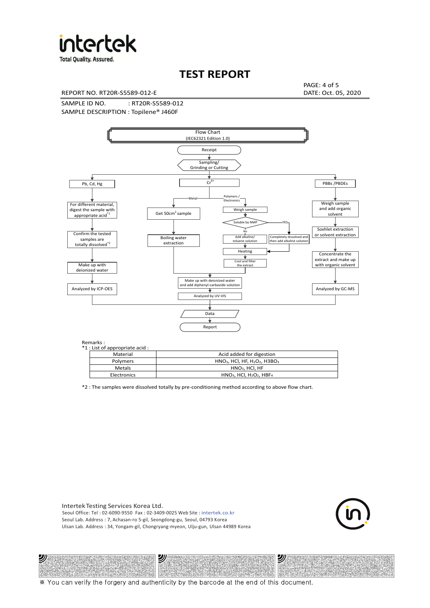

**Total Quality. Assured.** 

## **TEST REPORT**

REPORT NO. RT20R-S5589-012-E DATE: Oct. 05, 2020

PAGE: 4 of 5

SAMPLE ID NO. : RT20R-S5589-012 SAMPLE DESCRIPTION : Topilene® J460F



| *1 : List of appropriate acid : |                                                                     |
|---------------------------------|---------------------------------------------------------------------|
| Material                        | Acid added for digestion                                            |
| Polymers                        | $HNO3$ , HCl, HF, H <sub>2</sub> O <sub>2</sub> , H3BO <sub>3</sub> |
| Metals                          | $HNO3$ . HCl. HF                                                    |
| Electronics                     | $HNO3$ , HCl, H <sub>2</sub> O <sub>2</sub> , HBF <sub>4</sub>      |

\*2 : The samples were dissolved totally by pre-conditioning method according to above flow chart.

Intertek Testing Services Korea Ltd. Seoul Office: Tel : 02-6090-9550 Fax : 02-3409-0025 Web Site : intertek.co.kr Seoul Lab. Address : 7, Achasan-ro 5-gil, Seongdong-gu, Seoul, 04793 Korea Ulsan Lab. Address : 34, Yongam-gil, Chongryang-myeon, Ulju-gun, Ulsan 44989 Korea

沙

沙